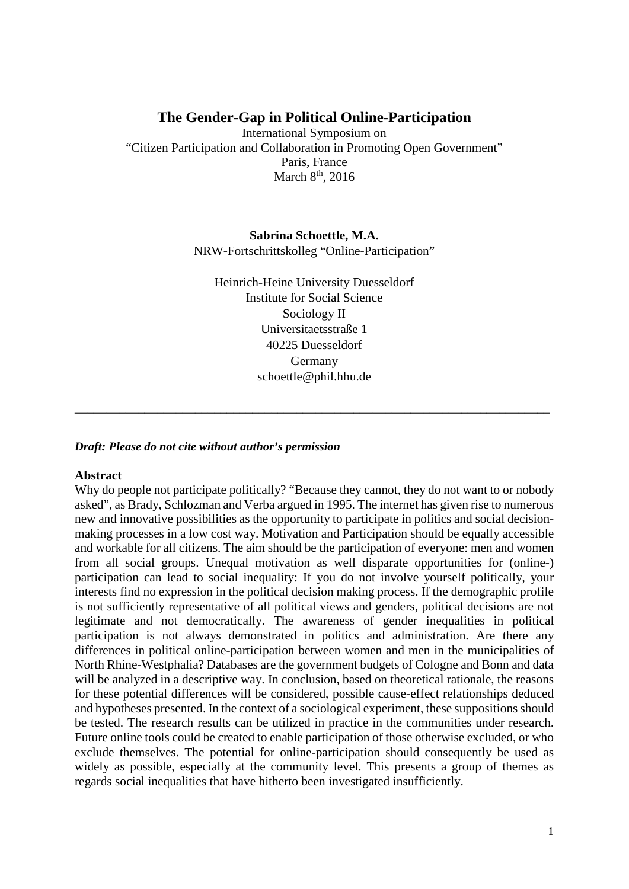# **The Gender-Gap in Political Online-Participation**

International Symposium on "Citizen Participation and Collaboration in Promoting Open Government" Paris, France March 8<sup>th</sup>, 2016

> **Sabrina Schoettle, M.A.**  NRW-Fortschrittskolleg "Online-Participation"

Heinrich-Heine University Duesseldorf Institute for Social Science Sociology II Universitaetsstraße 1 40225 Duesseldorf Germany schoettle@phil.hhu.de

\_\_\_\_\_\_\_\_\_\_\_\_\_\_\_\_\_\_\_\_\_\_\_\_\_\_\_\_\_\_\_\_\_\_\_\_\_\_\_\_\_\_\_\_\_\_\_\_\_\_\_\_\_\_\_\_\_\_\_\_\_\_\_\_\_\_\_\_\_\_\_\_\_\_\_

### *Draft: Please do not cite without author's permission*

### **Abstract**

Why do people not participate politically? "Because they cannot, they do not want to or nobody asked", as Brady, Schlozman and Verba argued in 1995. The internet has given rise to numerous new and innovative possibilities as the opportunity to participate in politics and social decisionmaking processes in a low cost way. Motivation and Participation should be equally accessible and workable for all citizens. The aim should be the participation of everyone: men and women from all social groups. Unequal motivation as well disparate opportunities for (online-) participation can lead to social inequality: If you do not involve yourself politically, your interests find no expression in the political decision making process. If the demographic profile is not sufficiently representative of all political views and genders, political decisions are not legitimate and not democratically. The awareness of gender inequalities in political participation is not always demonstrated in politics and administration. Are there any differences in political online-participation between women and men in the municipalities of North Rhine-Westphalia? Databases are the government budgets of Cologne and Bonn and data will be analyzed in a descriptive way. In conclusion, based on theoretical rationale, the reasons for these potential differences will be considered, possible cause-effect relationships deduced and hypotheses presented. In the context of a sociological experiment, these suppositions should be tested. The research results can be utilized in practice in the communities under research. Future online tools could be created to enable participation of those otherwise excluded, or who exclude themselves. The potential for online-participation should consequently be used as widely as possible, especially at the community level. This presents a group of themes as regards social inequalities that have hitherto been investigated insufficiently.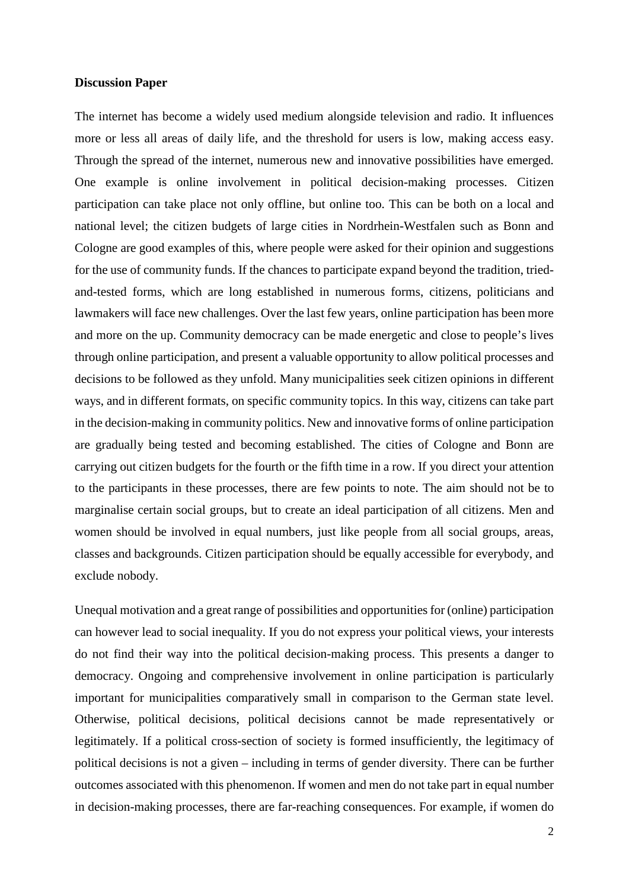#### **Discussion Paper**

The internet has become a widely used medium alongside television and radio. It influences more or less all areas of daily life, and the threshold for users is low, making access easy. Through the spread of the internet, numerous new and innovative possibilities have emerged. One example is online involvement in political decision-making processes. Citizen participation can take place not only offline, but online too. This can be both on a local and national level; the citizen budgets of large cities in Nordrhein-Westfalen such as Bonn and Cologne are good examples of this, where people were asked for their opinion and suggestions for the use of community funds. If the chances to participate expand beyond the tradition, triedand-tested forms, which are long established in numerous forms, citizens, politicians and lawmakers will face new challenges. Over the last few years, online participation has been more and more on the up. Community democracy can be made energetic and close to people's lives through online participation, and present a valuable opportunity to allow political processes and decisions to be followed as they unfold. Many municipalities seek citizen opinions in different ways, and in different formats, on specific community topics. In this way, citizens can take part in the decision-making in community politics. New and innovative forms of online participation are gradually being tested and becoming established. The cities of Cologne and Bonn are carrying out citizen budgets for the fourth or the fifth time in a row. If you direct your attention to the participants in these processes, there are few points to note. The aim should not be to marginalise certain social groups, but to create an ideal participation of all citizens. Men and women should be involved in equal numbers, just like people from all social groups, areas, classes and backgrounds. Citizen participation should be equally accessible for everybody, and exclude nobody.

Unequal motivation and a great range of possibilities and opportunities for (online) participation can however lead to social inequality. If you do not express your political views, your interests do not find their way into the political decision-making process. This presents a danger to democracy. Ongoing and comprehensive involvement in online participation is particularly important for municipalities comparatively small in comparison to the German state level. Otherwise, political decisions, political decisions cannot be made representatively or legitimately. If a political cross-section of society is formed insufficiently, the legitimacy of political decisions is not a given – including in terms of gender diversity. There can be further outcomes associated with this phenomenon. If women and men do not take part in equal number in decision-making processes, there are far-reaching consequences. For example, if women do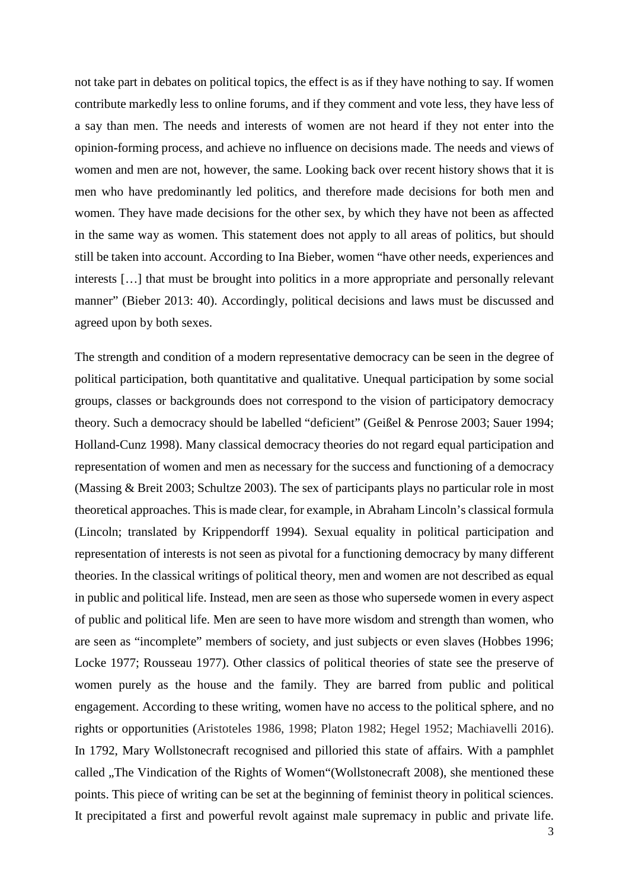not take part in debates on political topics, the effect is as if they have nothing to say. If women contribute markedly less to online forums, and if they comment and vote less, they have less of a say than men. The needs and interests of women are not heard if they not enter into the opinion-forming process, and achieve no influence on decisions made. The needs and views of women and men are not, however, the same. Looking back over recent history shows that it is men who have predominantly led politics, and therefore made decisions for both men and women. They have made decisions for the other sex, by which they have not been as affected in the same way as women. This statement does not apply to all areas of politics, but should still be taken into account. According to Ina Bieber, women "have other needs, experiences and interests […] that must be brought into politics in a more appropriate and personally relevant manner" (Bieber 2013: 40). Accordingly, political decisions and laws must be discussed and agreed upon by both sexes.

The strength and condition of a modern representative democracy can be seen in the degree of political participation, both quantitative and qualitative. Unequal participation by some social groups, classes or backgrounds does not correspond to the vision of participatory democracy theory. Such a democracy should be labelled "deficient" (Geißel & Penrose 2003; Sauer 1994; Holland-Cunz 1998). Many classical democracy theories do not regard equal participation and representation of women and men as necessary for the success and functioning of a democracy (Massing & Breit 2003; Schultze 2003). The sex of participants plays no particular role in most theoretical approaches. This is made clear, for example, in Abraham Lincoln's classical formula (Lincoln; translated by Krippendorff 1994). Sexual equality in political participation and representation of interests is not seen as pivotal for a functioning democracy by many different theories. In the classical writings of political theory, men and women are not described as equal in public and political life. Instead, men are seen as those who supersede women in every aspect of public and political life. Men are seen to have more wisdom and strength than women, who are seen as "incomplete" members of society, and just subjects or even slaves (Hobbes 1996; Locke 1977; Rousseau 1977). Other classics of political theories of state see the preserve of women purely as the house and the family. They are barred from public and political engagement. According to these writing, women have no access to the political sphere, and no rights or opportunities (Aristoteles 1986, 1998; Platon 1982; Hegel 1952; Machiavelli 2016). In 1792, Mary Wollstonecraft recognised and pilloried this state of affairs. With a pamphlet called "The Vindication of the Rights of Women" (Wollstonecraft 2008), she mentioned these points. This piece of writing can be set at the beginning of feminist theory in political sciences. It precipitated a first and powerful revolt against male supremacy in public and private life.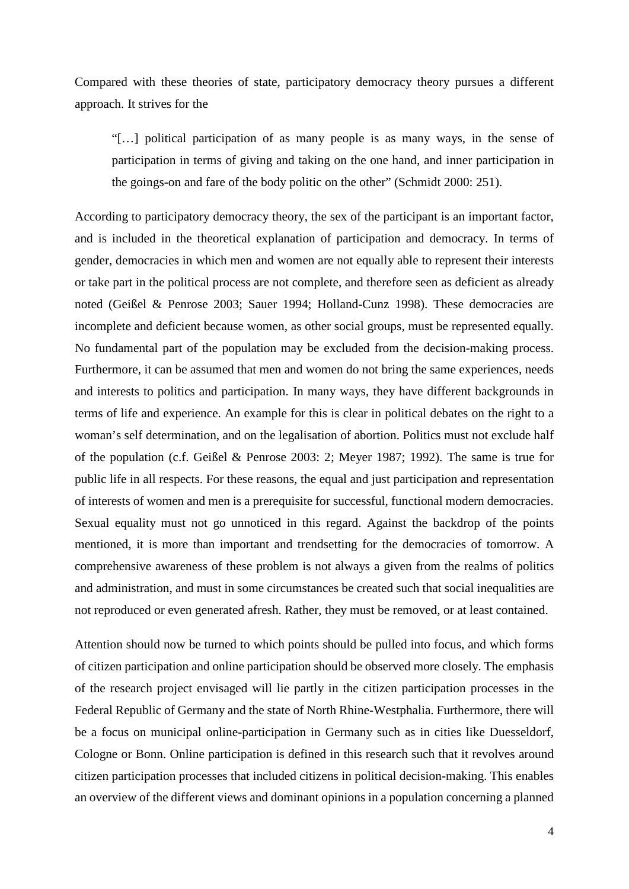Compared with these theories of state, participatory democracy theory pursues a different approach. It strives for the

"[…] political participation of as many people is as many ways, in the sense of participation in terms of giving and taking on the one hand, and inner participation in the goings-on and fare of the body politic on the other" (Schmidt 2000: 251).

According to participatory democracy theory, the sex of the participant is an important factor, and is included in the theoretical explanation of participation and democracy. In terms of gender, democracies in which men and women are not equally able to represent their interests or take part in the political process are not complete, and therefore seen as deficient as already noted (Geißel & Penrose 2003; Sauer 1994; Holland-Cunz 1998). These democracies are incomplete and deficient because women, as other social groups, must be represented equally. No fundamental part of the population may be excluded from the decision-making process. Furthermore, it can be assumed that men and women do not bring the same experiences, needs and interests to politics and participation. In many ways, they have different backgrounds in terms of life and experience. An example for this is clear in political debates on the right to a woman's self determination, and on the legalisation of abortion. Politics must not exclude half of the population (c.f. Geißel & Penrose 2003: 2; Meyer 1987; 1992). The same is true for public life in all respects. For these reasons, the equal and just participation and representation of interests of women and men is a prerequisite for successful, functional modern democracies. Sexual equality must not go unnoticed in this regard. Against the backdrop of the points mentioned, it is more than important and trendsetting for the democracies of tomorrow. A comprehensive awareness of these problem is not always a given from the realms of politics and administration, and must in some circumstances be created such that social inequalities are not reproduced or even generated afresh. Rather, they must be removed, or at least contained.

Attention should now be turned to which points should be pulled into focus, and which forms of citizen participation and online participation should be observed more closely. The emphasis of the research project envisaged will lie partly in the citizen participation processes in the Federal Republic of Germany and the state of North Rhine-Westphalia. Furthermore, there will be a focus on municipal online-participation in Germany such as in cities like Duesseldorf, Cologne or Bonn. Online participation is defined in this research such that it revolves around citizen participation processes that included citizens in political decision-making. This enables an overview of the different views and dominant opinions in a population concerning a planned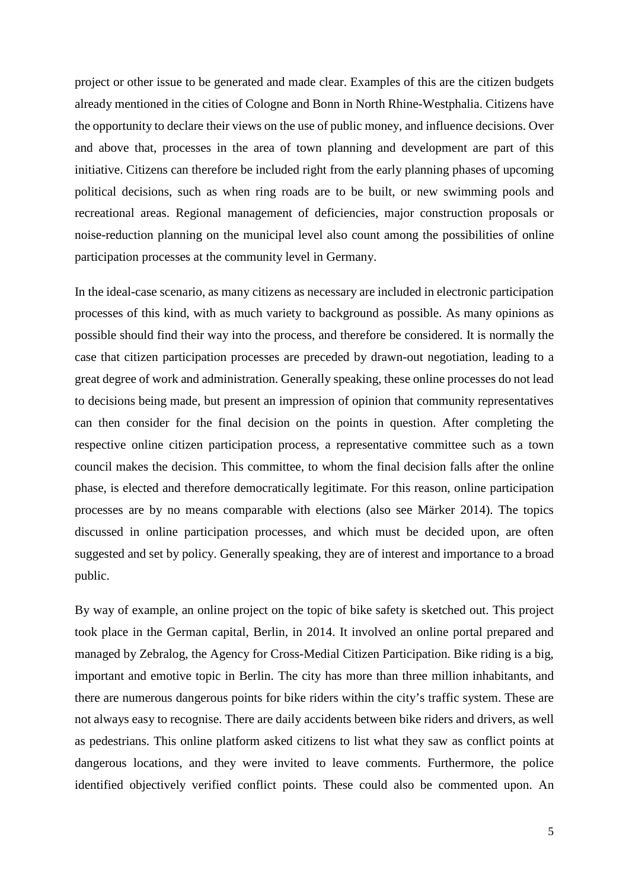project or other issue to be generated and made clear. Examples of this are the citizen budgets already mentioned in the cities of Cologne and Bonn in North Rhine-Westphalia. Citizens have the opportunity to declare their views on the use of public money, and influence decisions. Over and above that, processes in the area of town planning and development are part of this initiative. Citizens can therefore be included right from the early planning phases of upcoming political decisions, such as when ring roads are to be built, or new swimming pools and recreational areas. Regional management of deficiencies, major construction proposals or noise-reduction planning on the municipal level also count among the possibilities of online participation processes at the community level in Germany.

In the ideal-case scenario, as many citizens as necessary are included in electronic participation processes of this kind, with as much variety to background as possible. As many opinions as possible should find their way into the process, and therefore be considered. It is normally the case that citizen participation processes are preceded by drawn-out negotiation, leading to a great degree of work and administration. Generally speaking, these online processes do not lead to decisions being made, but present an impression of opinion that community representatives can then consider for the final decision on the points in question. After completing the respective online citizen participation process, a representative committee such as a town council makes the decision. This committee, to whom the final decision falls after the online phase, is elected and therefore democratically legitimate. For this reason, online participation processes are by no means comparable with elections (also see Märker 2014). The topics discussed in online participation processes, and which must be decided upon, are often suggested and set by policy. Generally speaking, they are of interest and importance to a broad public.

By way of example, an online project on the topic of bike safety is sketched out. This project took place in the German capital, Berlin, in 2014. It involved an online portal prepared and managed by Zebralog, the Agency for Cross-Medial Citizen Participation. Bike riding is a big, important and emotive topic in Berlin. The city has more than three million inhabitants, and there are numerous dangerous points for bike riders within the city's traffic system. These are not always easy to recognise. There are daily accidents between bike riders and drivers, as well as pedestrians. This online platform asked citizens to list what they saw as conflict points at dangerous locations, and they were invited to leave comments. Furthermore, the police identified objectively verified conflict points. These could also be commented upon. An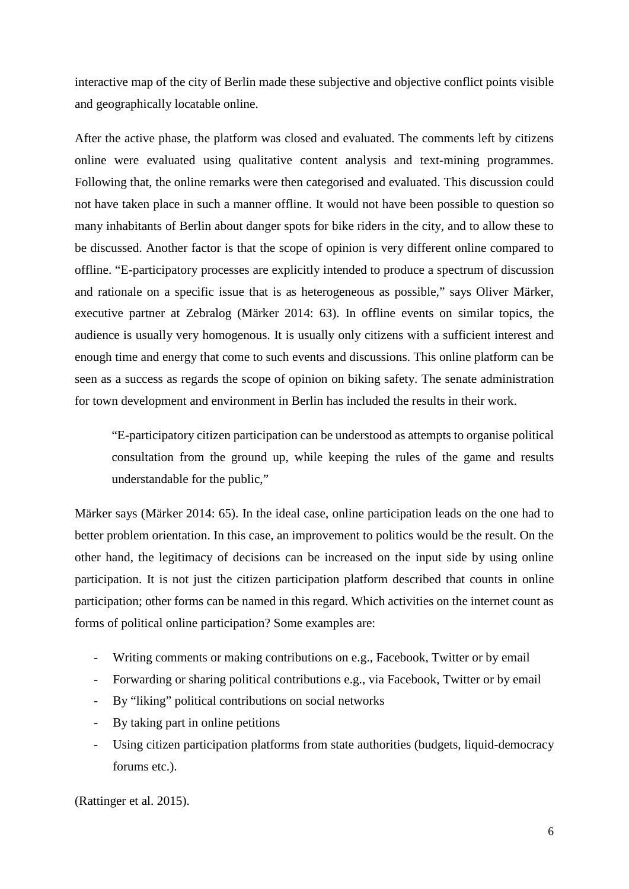interactive map of the city of Berlin made these subjective and objective conflict points visible and geographically locatable online.

After the active phase, the platform was closed and evaluated. The comments left by citizens online were evaluated using qualitative content analysis and text-mining programmes. Following that, the online remarks were then categorised and evaluated. This discussion could not have taken place in such a manner offline. It would not have been possible to question so many inhabitants of Berlin about danger spots for bike riders in the city, and to allow these to be discussed. Another factor is that the scope of opinion is very different online compared to offline. "E-participatory processes are explicitly intended to produce a spectrum of discussion and rationale on a specific issue that is as heterogeneous as possible," says Oliver Märker, executive partner at Zebralog (Märker 2014: 63). In offline events on similar topics, the audience is usually very homogenous. It is usually only citizens with a sufficient interest and enough time and energy that come to such events and discussions. This online platform can be seen as a success as regards the scope of opinion on biking safety. The senate administration for town development and environment in Berlin has included the results in their work.

"E-participatory citizen participation can be understood as attempts to organise political consultation from the ground up, while keeping the rules of the game and results understandable for the public,"

Märker says (Märker 2014: 65). In the ideal case, online participation leads on the one had to better problem orientation. In this case, an improvement to politics would be the result. On the other hand, the legitimacy of decisions can be increased on the input side by using online participation. It is not just the citizen participation platform described that counts in online participation; other forms can be named in this regard. Which activities on the internet count as forms of political online participation? Some examples are:

- Writing comments or making contributions on e.g., Facebook, Twitter or by email
- Forwarding or sharing political contributions e.g., via Facebook, Twitter or by email
- By "liking" political contributions on social networks
- By taking part in online petitions
- Using citizen participation platforms from state authorities (budgets, liquid-democracy forums etc.).

(Rattinger et al. 2015).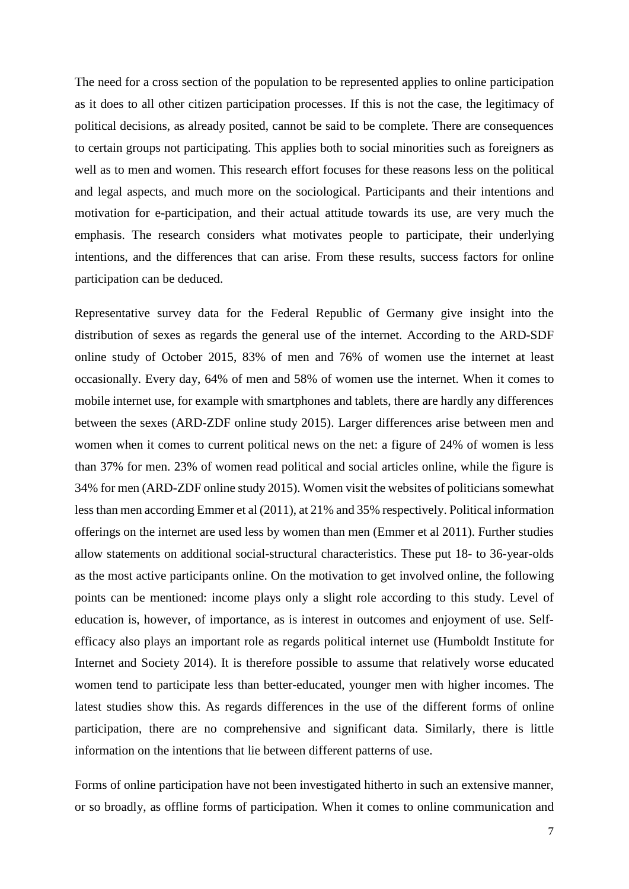The need for a cross section of the population to be represented applies to online participation as it does to all other citizen participation processes. If this is not the case, the legitimacy of political decisions, as already posited, cannot be said to be complete. There are consequences to certain groups not participating. This applies both to social minorities such as foreigners as well as to men and women. This research effort focuses for these reasons less on the political and legal aspects, and much more on the sociological. Participants and their intentions and motivation for e-participation, and their actual attitude towards its use, are very much the emphasis. The research considers what motivates people to participate, their underlying intentions, and the differences that can arise. From these results, success factors for online participation can be deduced.

Representative survey data for the Federal Republic of Germany give insight into the distribution of sexes as regards the general use of the internet. According to the ARD-SDF online study of October 2015, 83% of men and 76% of women use the internet at least occasionally. Every day, 64% of men and 58% of women use the internet. When it comes to mobile internet use, for example with smartphones and tablets, there are hardly any differences between the sexes (ARD-ZDF online study 2015). Larger differences arise between men and women when it comes to current political news on the net: a figure of 24% of women is less than 37% for men. 23% of women read political and social articles online, while the figure is 34% for men (ARD-ZDF online study 2015). Women visit the websites of politicians somewhat less than men according Emmer et al (2011), at 21% and 35% respectively. Political information offerings on the internet are used less by women than men (Emmer et al 2011). Further studies allow statements on additional social-structural characteristics. These put 18- to 36-year-olds as the most active participants online. On the motivation to get involved online, the following points can be mentioned: income plays only a slight role according to this study. Level of education is, however, of importance, as is interest in outcomes and enjoyment of use. Selfefficacy also plays an important role as regards political internet use (Humboldt Institute for Internet and Society 2014). It is therefore possible to assume that relatively worse educated women tend to participate less than better-educated, younger men with higher incomes. The latest studies show this. As regards differences in the use of the different forms of online participation, there are no comprehensive and significant data. Similarly, there is little information on the intentions that lie between different patterns of use.

Forms of online participation have not been investigated hitherto in such an extensive manner, or so broadly, as offline forms of participation. When it comes to online communication and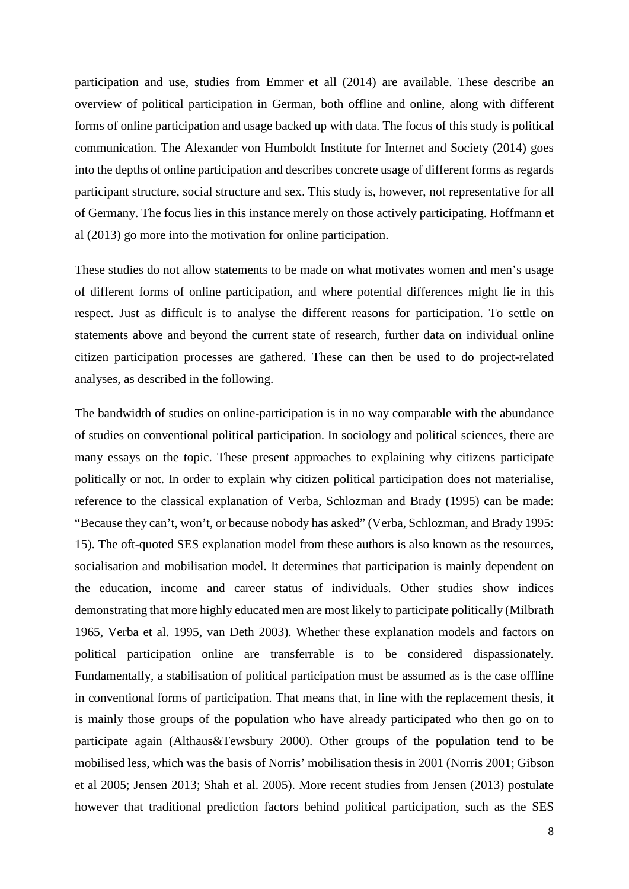participation and use, studies from Emmer et all (2014) are available. These describe an overview of political participation in German, both offline and online, along with different forms of online participation and usage backed up with data. The focus of this study is political communication. The Alexander von Humboldt Institute for Internet and Society (2014) goes into the depths of online participation and describes concrete usage of different forms as regards participant structure, social structure and sex. This study is, however, not representative for all of Germany. The focus lies in this instance merely on those actively participating. Hoffmann et al (2013) go more into the motivation for online participation.

These studies do not allow statements to be made on what motivates women and men's usage of different forms of online participation, and where potential differences might lie in this respect. Just as difficult is to analyse the different reasons for participation. To settle on statements above and beyond the current state of research, further data on individual online citizen participation processes are gathered. These can then be used to do project-related analyses, as described in the following.

The bandwidth of studies on online-participation is in no way comparable with the abundance of studies on conventional political participation. In sociology and political sciences, there are many essays on the topic. These present approaches to explaining why citizens participate politically or not. In order to explain why citizen political participation does not materialise, reference to the classical explanation of Verba, Schlozman and Brady (1995) can be made: "Because they can't, won't, or because nobody has asked" (Verba, Schlozman, and Brady 1995: 15). The oft-quoted SES explanation model from these authors is also known as the resources, socialisation and mobilisation model. It determines that participation is mainly dependent on the education, income and career status of individuals. Other studies show indices demonstrating that more highly educated men are most likely to participate politically (Milbrath 1965, Verba et al. 1995, van Deth 2003). Whether these explanation models and factors on political participation online are transferrable is to be considered dispassionately. Fundamentally, a stabilisation of political participation must be assumed as is the case offline in conventional forms of participation. That means that, in line with the replacement thesis, it is mainly those groups of the population who have already participated who then go on to participate again (Althaus&Tewsbury 2000). Other groups of the population tend to be mobilised less, which was the basis of Norris' mobilisation thesis in 2001 (Norris 2001; Gibson et al 2005; Jensen 2013; Shah et al. 2005). More recent studies from Jensen (2013) postulate however that traditional prediction factors behind political participation, such as the SES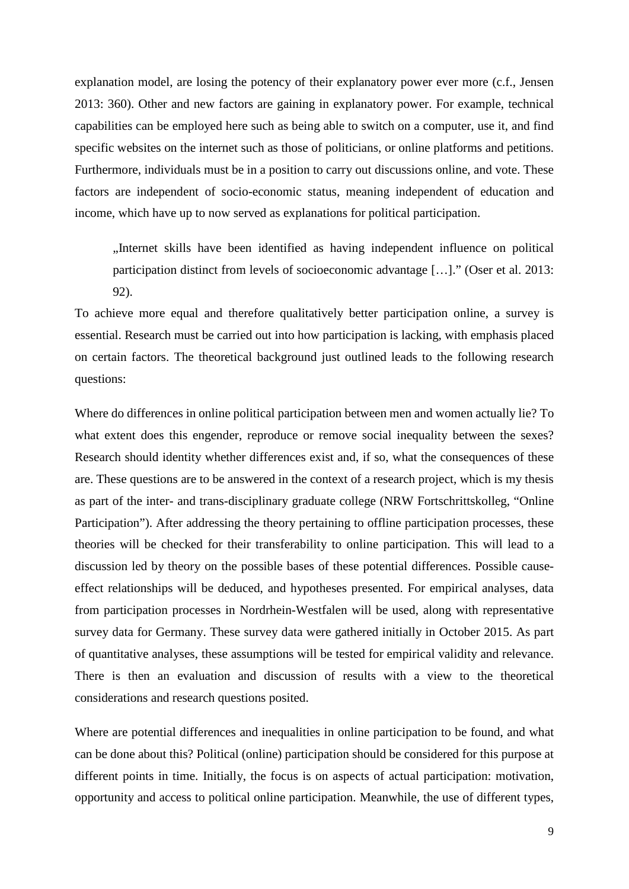explanation model, are losing the potency of their explanatory power ever more (c.f., Jensen 2013: 360). Other and new factors are gaining in explanatory power. For example, technical capabilities can be employed here such as being able to switch on a computer, use it, and find specific websites on the internet such as those of politicians, or online platforms and petitions. Furthermore, individuals must be in a position to carry out discussions online, and vote. These factors are independent of socio-economic status, meaning independent of education and income, which have up to now served as explanations for political participation.

"Internet skills have been identified as having independent influence on political participation distinct from levels of socioeconomic advantage […]." (Oser et al. 2013: 92).

To achieve more equal and therefore qualitatively better participation online, a survey is essential. Research must be carried out into how participation is lacking, with emphasis placed on certain factors. The theoretical background just outlined leads to the following research questions:

Where do differences in online political participation between men and women actually lie? To what extent does this engender, reproduce or remove social inequality between the sexes? Research should identity whether differences exist and, if so, what the consequences of these are. These questions are to be answered in the context of a research project, which is my thesis as part of the inter- and trans-disciplinary graduate college (NRW Fortschrittskolleg, "Online Participation"). After addressing the theory pertaining to offline participation processes, these theories will be checked for their transferability to online participation. This will lead to a discussion led by theory on the possible bases of these potential differences. Possible causeeffect relationships will be deduced, and hypotheses presented. For empirical analyses, data from participation processes in Nordrhein-Westfalen will be used, along with representative survey data for Germany. These survey data were gathered initially in October 2015. As part of quantitative analyses, these assumptions will be tested for empirical validity and relevance. There is then an evaluation and discussion of results with a view to the theoretical considerations and research questions posited.

Where are potential differences and inequalities in online participation to be found, and what can be done about this? Political (online) participation should be considered for this purpose at different points in time. Initially, the focus is on aspects of actual participation: motivation, opportunity and access to political online participation. Meanwhile, the use of different types,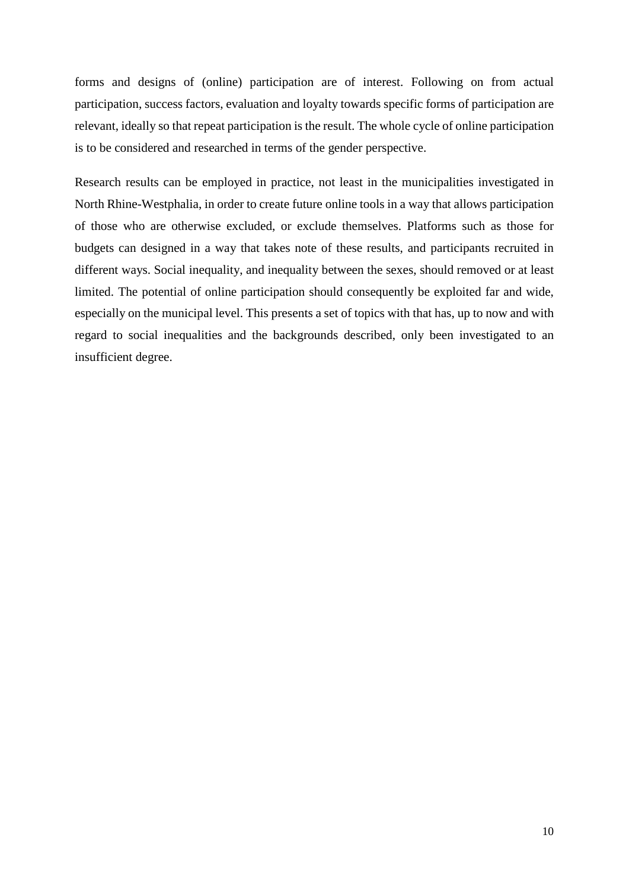forms and designs of (online) participation are of interest. Following on from actual participation, success factors, evaluation and loyalty towards specific forms of participation are relevant, ideally so that repeat participation is the result. The whole cycle of online participation is to be considered and researched in terms of the gender perspective.

Research results can be employed in practice, not least in the municipalities investigated in North Rhine-Westphalia, in order to create future online tools in a way that allows participation of those who are otherwise excluded, or exclude themselves. Platforms such as those for budgets can designed in a way that takes note of these results, and participants recruited in different ways. Social inequality, and inequality between the sexes, should removed or at least limited. The potential of online participation should consequently be exploited far and wide, especially on the municipal level. This presents a set of topics with that has, up to now and with regard to social inequalities and the backgrounds described, only been investigated to an insufficient degree.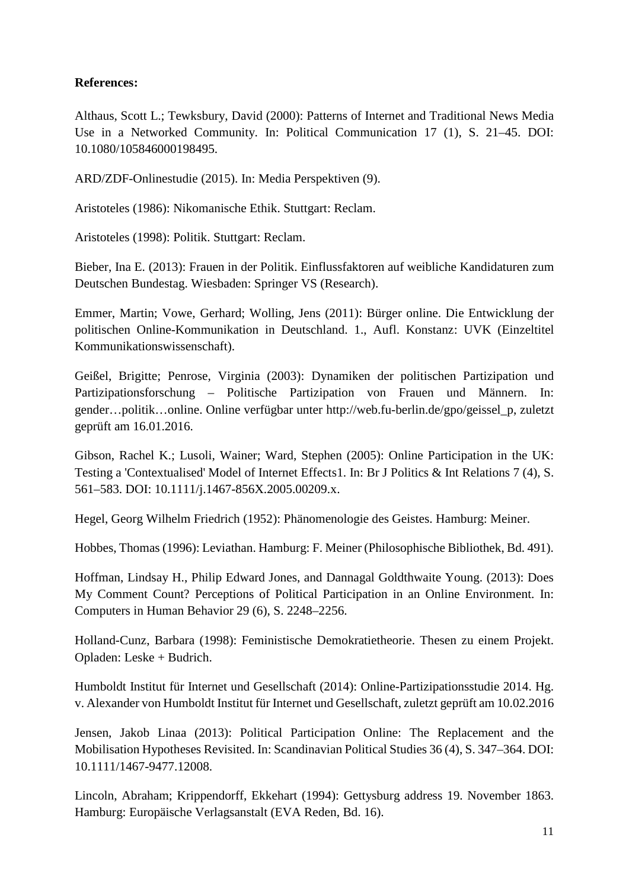## **References:**

Althaus, Scott L.; Tewksbury, David (2000): Patterns of Internet and Traditional News Media Use in a Networked Community. In: Political Communication 17 (1), S. 21–45. DOI: 10.1080/105846000198495.

ARD/ZDF-Onlinestudie (2015). In: Media Perspektiven (9).

Aristoteles (1986): Nikomanische Ethik. Stuttgart: Reclam.

Aristoteles (1998): Politik. Stuttgart: Reclam.

Bieber, Ina E. (2013): Frauen in der Politik. Einflussfaktoren auf weibliche Kandidaturen zum Deutschen Bundestag. Wiesbaden: Springer VS (Research).

Emmer, Martin; Vowe, Gerhard; Wolling, Jens (2011): Bürger online. Die Entwicklung der politischen Online-Kommunikation in Deutschland. 1., Aufl. Konstanz: UVK (Einzeltitel Kommunikationswissenschaft).

Geißel, Brigitte; Penrose, Virginia (2003): Dynamiken der politischen Partizipation und Partizipationsforschung – Politische Partizipation von Frauen und Männern. In: gender…politik…online. Online verfügbar unter http://web.fu-berlin.de/gpo/geissel\_p, zuletzt geprüft am 16.01.2016.

Gibson, Rachel K.; Lusoli, Wainer; Ward, Stephen (2005): Online Participation in the UK: Testing a 'Contextualised' Model of Internet Effects1. In: Br J Politics & Int Relations 7 (4), S. 561–583. DOI: 10.1111/j.1467-856X.2005.00209.x.

Hegel, Georg Wilhelm Friedrich (1952): Phänomenologie des Geistes. Hamburg: Meiner.

Hobbes, Thomas (1996): Leviathan. Hamburg: F. Meiner (Philosophische Bibliothek, Bd. 491).

Hoffman, Lindsay H., Philip Edward Jones, and Dannagal Goldthwaite Young. (2013): Does My Comment Count? Perceptions of Political Participation in an Online Environment. In: Computers in Human Behavior 29 (6), S. 2248–2256.

Holland-Cunz, Barbara (1998): Feministische Demokratietheorie. Thesen zu einem Projekt. Opladen: Leske + Budrich.

Humboldt Institut für Internet und Gesellschaft (2014): Online-Partizipationsstudie 2014. Hg. v. Alexander von Humboldt Institut für Internet und Gesellschaft, zuletzt geprüft am 10.02.2016

Jensen, Jakob Linaa (2013): Political Participation Online: The Replacement and the Mobilisation Hypotheses Revisited. In: Scandinavian Political Studies 36 (4), S. 347–364. DOI: 10.1111/1467-9477.12008.

Lincoln, Abraham; Krippendorff, Ekkehart (1994): Gettysburg address 19. November 1863. Hamburg: Europäische Verlagsanstalt (EVA Reden, Bd. 16).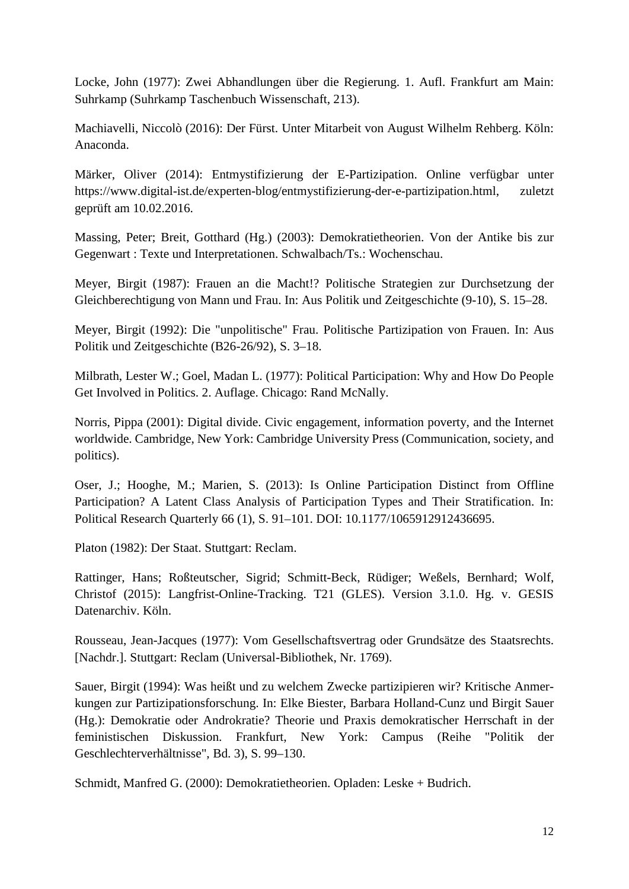Locke, John (1977): Zwei Abhandlungen über die Regierung. 1. Aufl. Frankfurt am Main: Suhrkamp (Suhrkamp Taschenbuch Wissenschaft, 213).

Machiavelli, Niccolò (2016): Der Fürst. Unter Mitarbeit von August Wilhelm Rehberg. Köln: Anaconda.

Märker, Oliver (2014): Entmystifizierung der E-Partizipation. Online verfügbar unter https://www.digital-ist.de/experten-blog/entmystifizierung-der-e-partizipation.html, zuletzt geprüft am 10.02.2016.

Massing, Peter; Breit, Gotthard (Hg.) (2003): Demokratietheorien. Von der Antike bis zur Gegenwart : Texte und Interpretationen. Schwalbach/Ts.: Wochenschau.

Meyer, Birgit (1987): Frauen an die Macht!? Politische Strategien zur Durchsetzung der Gleichberechtigung von Mann und Frau. In: Aus Politik und Zeitgeschichte (9-10), S. 15–28.

Meyer, Birgit (1992): Die "unpolitische" Frau. Politische Partizipation von Frauen. In: Aus Politik und Zeitgeschichte (B26-26/92), S. 3–18.

Milbrath, Lester W.; Goel, Madan L. (1977): Political Participation: Why and How Do People Get Involved in Politics. 2. Auflage. Chicago: Rand McNally.

Norris, Pippa (2001): Digital divide. Civic engagement, information poverty, and the Internet worldwide. Cambridge, New York: Cambridge University Press (Communication, society, and politics).

Oser, J.; Hooghe, M.; Marien, S. (2013): Is Online Participation Distinct from Offline Participation? A Latent Class Analysis of Participation Types and Their Stratification. In: Political Research Quarterly 66 (1), S. 91–101. DOI: 10.1177/1065912912436695.

Platon (1982): Der Staat. Stuttgart: Reclam.

Rattinger, Hans; Roßteutscher, Sigrid; Schmitt-Beck, Rüdiger; Weßels, Bernhard; Wolf, Christof (2015): Langfrist-Online-Tracking. T21 (GLES). Version 3.1.0. Hg. v. GESIS Datenarchiv. Köln.

Rousseau, Jean-Jacques (1977): Vom Gesellschaftsvertrag oder Grundsätze des Staatsrechts. [Nachdr.]. Stuttgart: Reclam (Universal-Bibliothek, Nr. 1769).

Sauer, Birgit (1994): Was heißt und zu welchem Zwecke partizipieren wir? Kritische Anmerkungen zur Partizipationsforschung. In: Elke Biester, Barbara Holland-Cunz und Birgit Sauer (Hg.): Demokratie oder Androkratie? Theorie und Praxis demokratischer Herrschaft in der feministischen Diskussion. Frankfurt, New York: Campus (Reihe "Politik der Geschlechterverhältnisse", Bd. 3), S. 99–130.

Schmidt, Manfred G. (2000): Demokratietheorien. Opladen: Leske + Budrich.